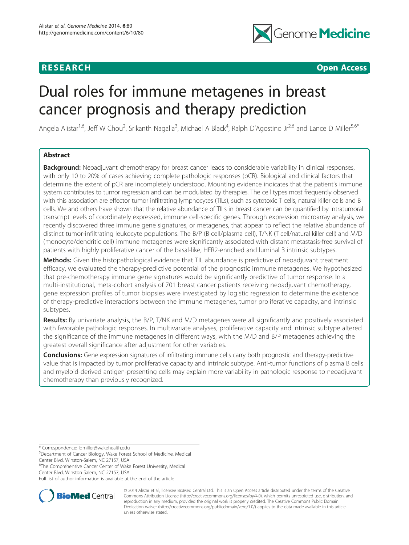## **RESEARCH CHEAR CHEAR CHEAR CHEAR CHEAR CHEAR CHEAR CHEAR CHEAR CHEAR CHEAR CHEAR CHEAR CHEAR CHEAR CHEAR CHEAR**



# Dual roles for immune metagenes in breast cancer prognosis and therapy prediction

Angela Alistar<sup>1,6</sup>, Jeff W Chou<sup>2</sup>, Srikanth Nagalla<sup>3</sup>, Michael A Black<sup>4</sup>, Ralph D'Agostino Jr<sup>2,6</sup> and Lance D Miller<sup>5,6\*</sup>

## Abstract

**Background:** Neoadjuvant chemotherapy for breast cancer leads to considerable variability in clinical responses, with only 10 to 20% of cases achieving complete pathologic responses (pCR). Biological and clinical factors that determine the extent of pCR are incompletely understood. Mounting evidence indicates that the patient's immune system contributes to tumor regression and can be modulated by therapies. The cell types most frequently observed with this association are effector tumor infiltrating lymphocytes (TILs), such as cytotoxic T cells, natural killer cells and B cells. We and others have shown that the relative abundance of TILs in breast cancer can be quantified by intratumoral transcript levels of coordinately expressed, immune cell-specific genes. Through expression microarray analysis, we recently discovered three immune gene signatures, or metagenes, that appear to reflect the relative abundance of distinct tumor-infiltrating leukocyte populations. The B/P (B cell/plasma cell), T/NK (T cell/natural killer cell) and M/D (monocyte/dendritic cell) immune metagenes were significantly associated with distant metastasis-free survival of patients with highly proliferative cancer of the basal-like, HER2-enriched and luminal B intrinsic subtypes.

Methods: Given the histopathological evidence that TIL abundance is predictive of neoadjuvant treatment efficacy, we evaluated the therapy-predictive potential of the prognostic immune metagenes. We hypothesized that pre-chemotherapy immune gene signatures would be significantly predictive of tumor response. In a multi-institutional, meta-cohort analysis of 701 breast cancer patients receiving neoadjuvant chemotherapy, gene expression profiles of tumor biopsies were investigated by logistic regression to determine the existence of therapy-predictive interactions between the immune metagenes, tumor proliferative capacity, and intrinsic subtypes.

Results: By univariate analysis, the B/P, T/NK and M/D metagenes were all significantly and positively associated with favorable pathologic responses. In multivariate analyses, proliferative capacity and intrinsic subtype altered the significance of the immune metagenes in different ways, with the M/D and B/P metagenes achieving the greatest overall significance after adjustment for other variables.

**Conclusions:** Gene expression signatures of infiltrating immune cells carry both prognostic and therapy-predictive value that is impacted by tumor proliferative capacity and intrinsic subtype. Anti-tumor functions of plasma B cells and myeloid-derived antigen-presenting cells may explain more variability in pathologic response to neoadjuvant chemotherapy than previously recognized.

\* Correspondence: [ldmiller@wakehealth.edu](mailto:ldmiller@wakehealth.edu) <sup>5</sup>

Department of Cancer Biology, Wake Forest School of Medicine, Medical Center Blvd, Winston-Salem, NC 27157, USA

6 The Comprehensive Cancer Center of Wake Forest University, Medical Center Blvd, Winston Salem, NC 27157, USA

Full list of author information is available at the end of the article



© 2014 Alistar et al.; licensee BioMed Central Ltd. This is an Open Access article distributed under the terms of the Creative Commons Attribution License [\(http://creativecommons.org/licenses/by/4.0\)](http://creativecommons.org/licenses/by/4.0), which permits unrestricted use, distribution, and reproduction in any medium, provided the original work is properly credited. The Creative Commons Public Domain Dedication waiver [\(http://creativecommons.org/publicdomain/zero/1.0/](http://creativecommons.org/publicdomain/zero/1.0/)) applies to the data made available in this article, unless otherwise stated.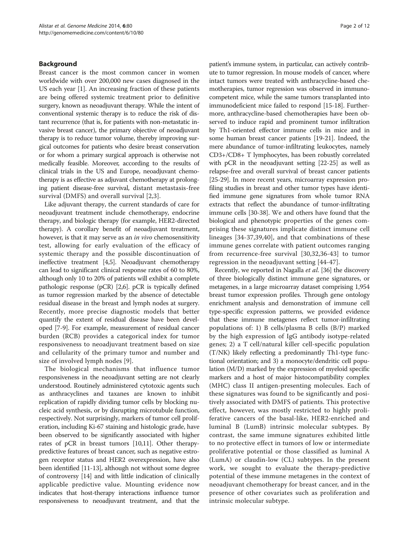## Background

Breast cancer is the most common cancer in women worldwide with over 200,000 new cases diagnosed in the US each year [\[1](#page-8-0)]. An increasing fraction of these patients are being offered systemic treatment prior to definitive surgery, known as neoadjuvant therapy. While the intent of conventional systemic therapy is to reduce the risk of distant recurrence (that is, for patients with non-metastatic invasive breast cancer), the primary objective of neoadjuvant therapy is to reduce tumor volume, thereby improving surgical outcomes for patients who desire breast conservation or for whom a primary surgical approach is otherwise not medically feasible. Moreover, according to the results of clinical trials in the US and Europe, neoadjuvant chemotherapy is as effective as adjuvant chemotherapy at prolonging patient disease-free survival, distant metastasis-free survival (DMFS) and overall survival [\[2](#page-8-0),[3\]](#page-8-0).

Like adjuvant therapy, the current standards of care for neoadjuvant treatment include chemotherapy, endocrine therapy, and biologic therapy (for example, HER2-directed therapy). A corollary benefit of neoadjuvant treatment, however, is that it may serve as an *in vivo* chemosensitivity test, allowing for early evaluation of the efficacy of systemic therapy and the possible discontinuation of ineffective treatment [[4,5](#page-8-0)]. Neoadjuvant chemotherapy can lead to significant clinical response rates of 60 to 80%, although only 10 to 20% of patients will exhibit a complete pathologic response (pCR) [\[2,6\]](#page-8-0). pCR is typically defined as tumor regression marked by the absence of detectable residual disease in the breast and lymph nodes at surgery. Recently, more precise diagnostic models that better quantify the extent of residual disease have been developed [[7](#page-8-0)[-9](#page-9-0)]. For example, measurement of residual cancer burden (RCB) provides a categorical index for tumor responsiveness to neoadjuvant treatment based on size and cellularity of the primary tumor and number and size of involved lymph nodes [[9\]](#page-9-0).

The biological mechanisms that influence tumor responsiveness in the neoadjuvant setting are not clearly understood. Routinely administered cytotoxic agents such as anthracyclines and taxanes are known to inhibit replication of rapidly dividing tumor cells by blocking nucleic acid synthesis, or by disrupting microtubule function, respectively. Not surprisingly, markers of tumor cell proliferation, including Ki-67 staining and histologic grade, have been observed to be significantly associated with higher rates of pCR in breast tumors [\[10,11\]](#page-9-0). Other therapypredictive features of breast cancer, such as negative estrogen receptor status and HER2 overexpression, have also been identified [[11](#page-9-0)-[13](#page-9-0)], although not without some degree of controversy [\[14\]](#page-9-0) and with little indication of clinically applicable predictive value. Mounting evidence now indicates that host-therapy interactions influence tumor responsiveness to neoadjuvant treatment, and that the

patient's immune system, in particular, can actively contribute to tumor regression. In mouse models of cancer, where intact tumors were treated with anthracycline-based chemotherapies, tumor regression was observed in immunocompetent mice, while the same tumors transplanted into immunodeficient mice failed to respond [\[15-18\]](#page-9-0). Furthermore, anthracycline-based chemotherapies have been observed to induce rapid and prominent tumor infiltration by Th1-oriented effector immune cells in mice and in some human breast cancer patients [\[19-21\]](#page-9-0). Indeed, the mere abundance of tumor-infiltrating leukocytes, namely CD3+/CD8+ T lymphocytes, has been robustly correlated with pCR in the neoadjuvant setting [[22](#page-9-0)-[25](#page-9-0)] as well as relapse-free and overall survival of breast cancer patients [[25](#page-9-0)-[29\]](#page-9-0). In more recent years, microarray expression profiling studies in breast and other tumor types have identified immune gene signatures from whole tumor RNA extracts that reflect the abundance of tumor-infiltrating immune cells [[30-](#page-9-0)[38\]](#page-10-0). We and others have found that the biological and phenotypic properties of the genes comprising these signatures implicate distinct immune cell lineages [\[34-](#page-9-0)[37](#page-10-0),[39,40](#page-10-0)], and that combinations of these immune genes correlate with patient outcomes ranging from recurrence-free survival [[30,32,36-](#page-9-0)[43](#page-10-0)] to tumor regression in the neoadjuvant setting [[44-47\]](#page-10-0).

Recently, we reported in Nagalla et al. [[36](#page-9-0)] the discovery of three biologically distinct immune gene signatures, or metagenes, in a large microarray dataset comprising 1,954 breast tumor expression profiles. Through gene ontology enrichment analysis and demonstration of immune cell type-specific expression patterns, we provided evidence that these immune metagenes reflect tumor-infiltrating populations of: 1) B cells/plasma B cells (B/P) marked by the high expression of IgG antibody isotype-related genes; 2) a T cell/natural killer cell-specific population (T/NK) likely reflecting a predominantly Th1-type functional orientation; and 3) a monocyte/dendritic cell population (M/D) marked by the expression of myeloid specific markers and a host of major histocompatibility complex (MHC) class II antigen-presenting molecules. Each of these signatures was found to be significantly and positively associated with DMFS of patients. This protective effect, however, was mostly restricted to highly proliferative cancers of the basal-like, HER2-enriched and luminal B (LumB) intrinsic molecular subtypes. By contrast, the same immune signatures exhibited little to no protective effect in tumors of low or intermediate proliferative potential or those classified as luminal A (LumA) or claudin-low (CL) subtypes. In the present work, we sought to evaluate the therapy-predictive potential of these immune metagenes in the context of neoadjuvant chemotherapy for breast cancer, and in the presence of other covariates such as proliferation and intrinsic molecular subtype.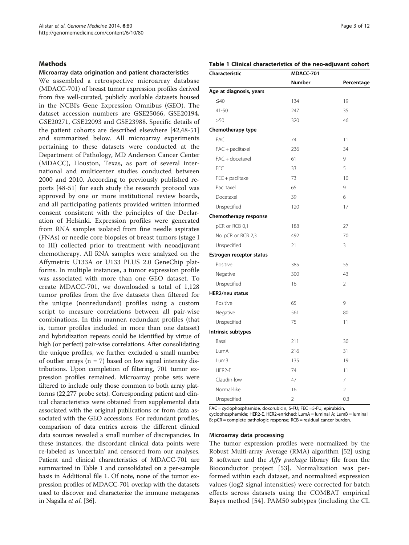## <span id="page-2-0"></span>**Methods**

## Microarray data origination and patient characteristics

We assembled a retrospective microarray database (MDACC-701) of breast tumor expression profiles derived from five well-curated, publicly available datasets housed in the NCBI's Gene Expression Omnibus (GEO). The dataset accession numbers are GSE25066, GSE20194, GSE20271, GSE22093 and GSE23988. Specific details of the patient cohorts are described elsewhere [\[42](#page-10-0),[48-51](#page-10-0)] and summarized below. All microarray experiments pertaining to these datasets were conducted at the Department of Pathology, MD Anderson Cancer Center (MDACC), Houston, Texas, as part of several international and multicenter studies conducted between 2000 and 2010. According to previously published reports [\[48](#page-10-0)-[51](#page-10-0)] for each study the research protocol was approved by one or more institutional review boards, and all participating patients provided written informed consent consistent with the principles of the Declaration of Helsinki. Expression profiles were generated from RNA samples isolated from fine needle aspirates (FNAs) or needle core biopsies of breast tumors (stage I to III) collected prior to treatment with neoadjuvant chemotherapy. All RNA samples were analyzed on the Affymetrix U133A or U133 PLUS 2.0 GeneChip platforms. In multiple instances, a tumor expression profile was associated with more than one GEO dataset. To create MDACC-701, we downloaded a total of 1,128 tumor profiles from the five datasets then filtered for the unique (nonredundant) profiles using a custom script to measure correlations between all pair-wise combinations. In this manner, redundant profiles (that is, tumor profiles included in more than one dataset) and hybridization repeats could be identified by virtue of high (or perfect) pair-wise correlations. After consolidating the unique profiles, we further excluded a small number of outlier arrays ( $n = 7$ ) based on low signal intensity distributions. Upon completion of filtering, 701 tumor expression profiles remained. Microarray probe sets were filtered to include only those common to both array platforms (22,277 probe sets). Corresponding patient and clinical characteristics were obtained from supplemental data associated with the original publications or from data associated with the GEO accessions. For redundant profiles, comparison of data entries across the different clinical data sources revealed a small number of discrepancies. In these instances, the discordant clinical data points were re-labeled as 'uncertain' and censored from our analyses. Patient and clinical characteristics of MDACC-701 are summarized in Table 1 and consolidated on a per-sample basis in Additional file [1](#page-8-0). Of note, none of the tumor expression profiles of MDACC-701 overlap with the datasets used to discover and characterize the immune metagenes in Nagalla et al. [[36](#page-9-0)].

## Table 1 Clinical characteristics of the neo-adjuvant cohort

| Characteristic           | MDACC-701      |                 |
|--------------------------|----------------|-----------------|
|                          | <b>Number</b>  | Percentage      |
| Age at diagnosis, years  |                |                 |
| $\leq 40$                | 134            | 19              |
| $41 - 50$                | 247            | 35              |
| >50                      | 320            | 46              |
| Chemotherapy type        |                |                 |
| FAC                      | 74             | 11              |
| FAC + paclitaxel         | 236            | 34              |
| FAC + docetaxel          | 61             | 9               |
| <b>FEC</b>               | 33             | 5               |
| FEC + paclitaxel         | 73             | 10 <sup>1</sup> |
| Paclitaxel               | 65             | 9               |
| Docetaxel                | 39             | 6               |
| Unspecified              | 120            | 17              |
| Chemotherapy response    |                |                 |
| pCR or RCB 0,1           | 188            | 27              |
| No pCR or RCB 2,3        | 492            | 70              |
| Unspecified              | 21             | 3               |
| Estrogen receptor status |                |                 |
| Positive                 | 385            | 55              |
| Negative                 | 300            | 43              |
| Unspecified              | 16             | $\overline{2}$  |
| <b>HER2/neu status</b>   |                |                 |
| Positive                 | 65             | 9               |
| Negative                 | 561            | 80              |
| Unspecified              | 75             | 11              |
| Intrinsic subtypes       |                |                 |
| Basal                    | 211            | 30              |
| LumA                     | 216            | 31              |
| LumB                     | 135            | 19              |
| HER2-E                   | 74             | 11              |
| Claudin-low              | 47             | $\overline{7}$  |
| Normal-like              | 16             | $\overline{2}$  |
| Unspecified              | $\overline{2}$ | 0.3             |

FAC = cyclophosphamide, doxorubicin, 5-FU; FEC =5-FU, epirubicin, cyclophosphamide; HER2-E, HER2-enriched; LumA = luminal A; LumB = luminal B; pCR = complete pathologic response; RCB = residual cancer burden.

## Microarray data processing

The tumor expression profiles were normalized by the Robust Multi-array Average (RMA) algorithm [\[52](#page-10-0)] using R software and the Affy package library file from the Bioconductor project [[53\]](#page-10-0). Normalization was performed within each dataset, and normalized expression values (log2 signal intensities) were corrected for batch effects across datasets using the COMBAT empirical Bayes method [\[54](#page-10-0)]. PAM50 subtypes (including the CL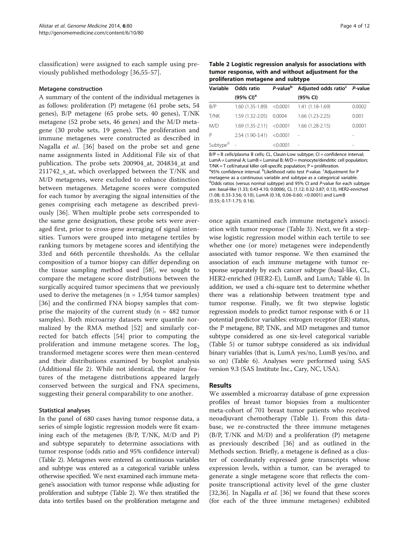<span id="page-3-0"></span>classification) were assigned to each sample using previously published methodology [[36](#page-9-0)[,55-57](#page-10-0)].

## Metagene construction

A summary of the content of the individual metagenes is as follows: proliferation (P) metagene (61 probe sets, 54 genes), B/P metagene (65 probe sets, 40 genes), T/NK metagene (52 probe sets, 46 genes) and the M/D metagene (30 probe sets, 19 genes). The proliferation and immune metagenes were constructed as described in Nagalla et al. [\[36](#page-9-0)] based on the probe set and gene name assignments listed in Additional File six of that publication. The probe sets 200904\_at, 204834\_at and 211742\_s\_at, which overlapped between the T/NK and M/D metagenes, were excluded to enhance distinction between metagenes. Metagene scores were computed for each tumor by averaging the signal intensities of the genes comprising each metagene as described previously [[36\]](#page-9-0). When multiple probe sets corresponded to the same gene designation, these probe sets were averaged first, prior to cross-gene averaging of signal intensities. Tumors were grouped into metagene tertiles by ranking tumors by metagene scores and identifying the 33rd and 66th percentile thresholds. As the cellular composition of a tumor biopsy can differ depending on the tissue sampling method used [[58\]](#page-10-0), we sought to compare the metagene score distributions between the surgically acquired tumor specimens that we previously used to derive the metagenes ( $n = 1.954$  tumor samples) [[36\]](#page-9-0) and the confirmed FNA biopsy samples that comprise the majority of the current study ( $n = 482$  tumor samples). Both microarray datasets were quantile normalized by the RMA method [[52\]](#page-10-0) and similarly corrected for batch effects [[54\]](#page-10-0) prior to computing the proliferation and immune metagene scores. The  $log<sub>2</sub>$ transformed metagene scores were then mean-centered and their distributions examined by boxplot analysis (Additional file [2](#page-8-0)). While not identical, the major features of the metagene distributions appeared largely conserved between the surgical and FNA specimens, suggesting their general comparability to one another.

## Statistical analyses

In the panel of 680 cases having tumor response data, a series of simple logistic regression models were fit examining each of the metagenes (B/P, T/NK, M/D and P) and subtype separately to determine associations with tumor response (odds ratio and 95% confidence interval) (Table 2). Metagenes were entered as continuous variables and subtype was entered as a categorical variable unless otherwise specified. We next examined each immune metagene's association with tumor response while adjusting for proliferation and subtype (Table 2). We then stratified the data into tertiles based on the proliferation metagene and

Table 2 Logistic regression analysis for associations with tumor response, with and without adjustment for the proliferation metagene and subtype

| Variable             | Odds ratio                 |                | P-value <sup>b</sup> Adjusted odds ratio <sup>c</sup> P-value |        |
|----------------------|----------------------------|----------------|---------------------------------------------------------------|--------|
|                      | $(95\% \text{ Cl})^a$      |                | (95% CI)                                                      |        |
| B/P                  | $1.60(1.35-1.89) < 0.0001$ |                | $1.41(1.18-1.69)$                                             | 0.0002 |
| T/NK                 | 1.59 (1.32-2.05)           | 0.0004         | 1.66 (1.23-2.25)                                              | 0.001  |
| M/D                  | $1.69(1.35-2.11)$          | $<$ 0.0001 $<$ | $1.66(1.28-2.15)$                                             | 0.0001 |
| Ρ                    | 2.54 (1.90-3.41)           | < 0.0001       |                                                               |        |
| Subtype <sup>d</sup> |                            | < 0.0001       | ÷                                                             |        |

B/P = B cells/plasma B cells; CL, Clauin-Low subtype; CI = confidence interval; LumA = Luminal A; LumB = Luminal B;  $M/D$  = monocyte/dendritic cell population; T/NK = T cell/natural killer cell-specific population; P = proliferation. <sup>a</sup>95% confidence interval. <sup>b</sup>Likelihood ratio test P-value. <sup>c</sup>Adjustment for P metagene as a continuous variable and subtype as a categorical variable. <sup>d</sup>Odds ratios (versus normal subtype) and 95% CI and P-value for each subtype are: basal-like (1.33; 0.43-4.10; 0.0006), CL (1.12; 0.32-3.87; 0.13), HER2-enriched (1.08; 0.33-3.56; 0.10), LumA (0.18, 0.06-0.60; <0.0001) and LumB (0.55; 0.17-1.75; 0.16).

once again examined each immune metagene's association with tumor response (Table [3](#page-4-0)). Next, we fit a stepwise logistic regression model within each tertile to see whether one (or more) metagenes were independently associated with tumor response. We then examined the association of each immune metagene with tumor response separately by each cancer subtype (basal-like, CL, HER2-enriched (HER2-E), LumB, and LumA; Table [4\)](#page-4-0). In addition, we used a chi-square test to determine whether there was a relationship between treatment type and tumor response. Finally, we fit two stepwise logistic regression models to predict tumor response with 6 or 11 potential predictor variables: estrogen receptor (ER) status, the P metagene, BP, TNK, and MD metagenes and tumor subtype considered as one six-level categorical variable (Table [5\)](#page-5-0) or tumor subtype considered as six individual binary variables (that is, LumA yes/no, LumB yes/no, and so on) (Table [6\)](#page-5-0). Analyses were performed using SAS version 9.3 (SAS Institute Inc., Cary, NC, USA).

## Results

We assembled a microarray database of gene expression profiles of breast tumor biopsies from a multicenter meta-cohort of 701 breast tumor patients who received neoadjuvant chemotherapy (Table [1](#page-2-0)). From this database, we re-constructed the three immune metagenes (B/P, T/NK and M/D) and a proliferation (P) metagene as previously described [[36\]](#page-9-0) and as outlined in the [Methods](#page-2-0) section. Briefly, a metagene is defined as a cluster of coordinately expressed gene transcripts whose expression levels, within a tumor, can be averaged to generate a single metagene score that reflects the composite transcriptional activity level of the gene cluster [[32,36\]](#page-9-0). In Nagalla *et al.* [\[36](#page-9-0)] we found that these scores (for each of the three immune metagenes) exhibited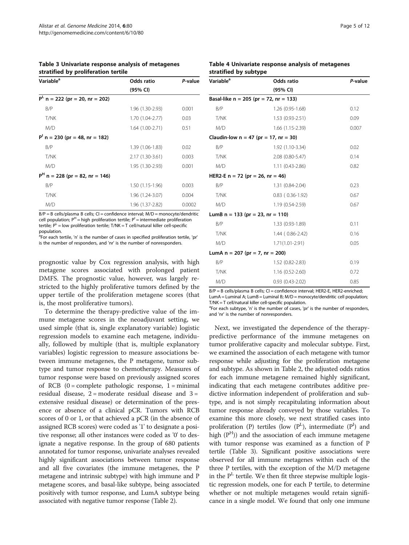<span id="page-4-0"></span>Table 3 Univariate response analysis of metagenes stratified by proliferation tertile

| Variable <sup>a</sup>               | Odds ratio       | P-value |
|-------------------------------------|------------------|---------|
|                                     | (95% CI)         |         |
| $PL$ n = 222 (pr = 20, nr = 202)    |                  |         |
| B/P                                 | 1.96 (1.30-2.93) | 0.001   |
| T/NK                                | 1.70 (1.04-2.77) | 0.03    |
| M/D                                 | 1.64 (1.00-2.71) | 0.51    |
| $P^{1}$ n = 230 (pr = 48, nr = 182) |                  |         |
| B/P                                 | 1.39 (1.06-1.83) | 0.02    |
| T/NK                                | 2.17 (1.30-3.61) | 0.003   |
| M/D                                 | 1.95 (1.30-2.93) | 0.001   |
| $PH$ n = 228 (pr = 82, nr = 146)    |                  |         |
| B/P                                 | 1.50 (1.15-1.96) | 0.003   |
| T/NK                                | 1.96 (1.24-3.07) | 0.004   |
| M/D                                 | 1.96 (1.37-2.82) | 0.0002  |

 $B/P = B$  cells/plasma B cells; CI = confidence interval; M/D = monocyte/dendritic cell population;  $P^{H}$  = high proliferation tertile;  $P^{I}$  = intermediate proliferation tertile;  $P^L$  = low proliferation tertile;  $T/NK = T$  cell/natural killer cell-specific population.

<sup>a</sup>For each tertile, 'n' is the number of cases in specified proliferation tertile, 'pr is the number of responders, and 'nr' is the number of nonresponders.

prognostic value by Cox regression analysis, with high metagene scores associated with prolonged patient DMFS. The prognostic value, however, was largely restricted to the highly proliferative tumors defined by the upper tertile of the proliferation metagene scores (that is, the most proliferative tumors).

To determine the therapy-predictive value of the immune metagene scores in the neoadjuvant setting, we used simple (that is, single explanatory variable) logistic regression models to examine each metagene, individually, followed by multiple (that is, multiple explanatory variables) logistic regression to measure associations between immune metagenes, the P metagene, tumor subtype and tumor response to chemotherapy. Measures of tumor response were based on previously assigned scores of RCB  $(0 = \text{complete pathologic response}, 1 = \text{minimal}$ residual disease,  $2 =$  moderate residual disease and  $3 =$ extensive residual disease) or determination of the presence or absence of a clinical pCR. Tumors with RCB scores of 0 or 1, or that achieved a pCR (in the absence of assigned RCB scores) were coded as '1' to designate a positive response; all other instances were coded as '0' to designate a negative response. In the group of 680 patients annotated for tumor response, univariate analyses revealed highly significant associations between tumor response and all five covariates (the immune metagenes, the P metagene and intrinsic subtype) with high immune and P metagene scores, and basal-like subtype, being associated positively with tumor response, and LumA subtype being associated with negative tumor response (Table [2\)](#page-3-0).

## Table 4 Univariate response analysis of metagenes stratified by subtype

| Variable <sup>a</sup>              | <b>Odds ratio</b>                        | P-value |
|------------------------------------|------------------------------------------|---------|
|                                    | (95% CI)                                 |         |
|                                    | Basal-like $n = 205$ (pr = 72, nr = 133) |         |
| B/P                                | 1.26 (0.95-1.68)                         | 0.12    |
| T/NK                               | 1.53 (0.93-2.51)                         | 0.09    |
| M/D                                | 1.66 (1.15-2.39)                         | 0.007   |
|                                    | Claudin-low $n = 47$ (pr = 17, nr = 30)  |         |
| B/P                                | 1.92 (1.10-3.34)                         | 0.02    |
| T/NK                               | 2.08 (0.80-5.47)                         | 0.14    |
| M/D                                | $1.11(0.43 - 2.86)$                      | 0.82    |
| HER2-E $n = 72$ (pr = 26, nr = 46) |                                          |         |
| B/P                                | 1.31 (0.84-2.04)                         | 0.23    |
| T/NK                               | $0.83$ ( $0.36 - 1.92$ )                 | 0.67    |
| M/D                                | 1.19 (0.54-2.59)                         | 0.67    |
| LumB $n = 133$ (pr = 23, nr = 110) |                                          |         |
| B/P                                | 1.33 (0.93-1.89)                         | 0.11    |
| T/NK                               | 1.44 (0.86-2.42)                         | 0.16    |
| M/D                                | 1.71(1.01-2.91)                          | 0.05    |
| LumA $n = 207$ (pr = 7, nr = 200)  |                                          |         |
| B/P                                | 1.52 (0.82-2.83)                         | 0.19    |
| T/NK                               | 1.16 (0.52-2.60)                         | 0.72    |
| M/D                                | $0.93(0.43 - 2.02)$                      | 0.85    |

B/P = B cells/plasma B cells; CI = confidence interval; HER2-E, HER2-enriched; LumA = Luminal A; LumB = Luminal B; M/D = monocyte/dendritic cell population; T/NK = T cell/natural killer cell-specific population.

<sup>a</sup>For each subtype, 'n' is the number of cases, 'pr' is the number of responders, and 'nr' is the number of nonresponders.

Next, we investigated the dependence of the therapypredictive performance of the immune metagenes on tumor proliferative capacity and molecular subtype. First, we examined the association of each metagene with tumor response while adjusting for the proliferation metagene and subtype. As shown in Table [2,](#page-3-0) the adjusted odds ratios for each immune metagene remained highly significant, indicating that each metagene contributes additive predictive information independent of proliferation and subtype, and is not simply recapitulating information about tumor response already conveyed by those variables. To examine this more closely, we next stratified cases into proliferation (P) tertiles (low  $(P^L)$ , intermediate  $(P^I)$  and high  $(P<sup>H</sup>)$  and the association of each immune metagene with tumor response was examined as a function of P tertile (Table 3). Significant positive associations were observed for all immune metagenes within each of the three P tertiles, with the exception of the M/D metagene in the  $P<sup>L</sup>$  tertile. We then fit three stepwise multiple logistic regression models, one for each P tertile, to determine whether or not multiple metagenes would retain significance in a single model. We found that only one immune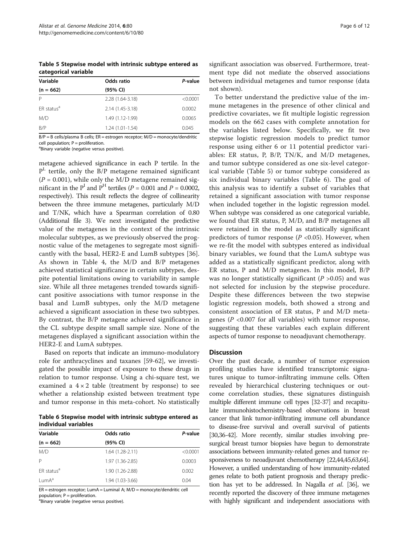<span id="page-5-0"></span>Table 5 Stepwise model with intrinsic subtype entered as categorical variable

| Variable               | Odds ratio        | P-value  |
|------------------------|-------------------|----------|
| $(n = 662)$            | (95% CI)          |          |
| P                      | 2.28 (1.64-3.18)  | < 0.0001 |
| ER status <sup>a</sup> | 2.14 (1.45-3.18)  | 0.0002   |
| M/D                    | 1.49 (1.12-1.99)  | 0.0065   |
| B/P                    | $1.24(1.01-1.54)$ | 0.045    |

B/P = B cells/plasma B cells; ER = estrogen receptor; M/D = monocyte/dendritic cell population; P = proliferation.

<sup>a</sup>Binary variable (negative versus positive).

metagene achieved significance in each P tertile. In the  $P<sup>L</sup>$  tertile, only the B/P metagene remained significant  $(P = 0.001)$ , while only the M/D metagene remained significant in the  $P<sup>I</sup>$  and  $P<sup>H</sup>$  tertiles ( $P = 0.001$  and  $P = 0.0002$ , respectively). This result reflects the degree of collinearity between the three immune metagenes, particularly M/D and T/NK, which have a Spearman correlation of 0.80 (Additional file [3\)](#page-8-0). We next investigated the predictive value of the metagenes in the context of the intrinsic molecular subtypes, as we previously observed the prognostic value of the metagenes to segregate most significantly with the basal, HER2-E and LumB subtypes [\[36](#page-9-0)]. As shown in Table [4,](#page-4-0) the M/D and B/P metagenes achieved statistical significance in certain subtypes, despite potential limitations owing to variability in sample size. While all three metagenes trended towards significant positive associations with tumor response in the basal and LumB subtypes, only the M/D metagene achieved a significant association in these two subtypes. By contrast, the B/P metagene achieved significance in the CL subtype despite small sample size. None of the metagenes displayed a significant association within the HER2-E and LumA subtypes.

Based on reports that indicate an immuno-modulatory role for anthracyclines and taxanes [\[59](#page-10-0)-[62\]](#page-10-0), we investigated the possible impact of exposure to these drugs in relation to tumor response. Using a chi-square test, we examined a  $4 \times 2$  table (treatment by response) to see whether a relationship existed between treatment type and tumor response in this meta-cohort. No statistically

Table 6 Stepwise model with intrinsic subtype entered as individual variables

| Variable               | Odds ratio        | P-value  |
|------------------------|-------------------|----------|
| $(n = 662)$            | (95% CI)          |          |
| M/D                    | $1.64(1.28-2.11)$ | < 0.0001 |
| P                      | 1.97 (1.36-2.85)  | 0.0003   |
| ER status <sup>a</sup> | 1.90 (1.26-2.88)  | 0.002    |
| lumA <sup>a</sup>      | 1.94 (1.03-3.66)  | 0.04     |

ER = estrogen receptor; LumA = Luminal A; M/D = monocyte/dendritic cell population; P = proliferation.

a<br>Binary variable (negative versus positive).

significant association was observed. Furthermore, treatment type did not mediate the observed associations between individual metagenes and tumor response (data not shown).

To better understand the predictive value of the immune metagenes in the presence of other clinical and predictive covariates, we fit multiple logistic regression models on the 662 cases with complete annotation for the variables listed below. Specifically, we fit two stepwise logistic regression models to predict tumor response using either 6 or 11 potential predictor variables: ER status, P, B/P, TN/K, and M/D metagenes, and tumor subtype considered as one six-level categorical variable (Table 5) or tumor subtype considered as six individual binary variables (Table 6). The goal of this analysis was to identify a subset of variables that retained a significant association with tumor response when included together in the logistic regression model. When subtype was considered as one categorical variable, we found that ER status, P, M/D, and B/P metagenes all were retained in the model as statistically significant predictors of tumor response ( $P$  <0.05). However, when we re-fit the model with subtypes entered as individual binary variables, we found that the LumA subtype was added as a statistically significant predictor, along with ER status, P and M/D metagenes. In this model, B/P was no longer statistically significant ( $P > 0.05$ ) and was not selected for inclusion by the stepwise procedure. Despite these differences between the two stepwise logistic regression models, both showed a strong and consistent association of ER status, P and M/D metagenes ( $P$  <0.007 for all variables) with tumor response, suggesting that these variables each explain different aspects of tumor response to neoadjuvant chemotherapy.

## **Discussion**

Over the past decade, a number of tumor expression profiling studies have identified transcriptomic signatures unique to tumor-infiltrating immune cells. Often revealed by hierarchical clustering techniques or outcome correlation studies, these signatures distinguish multiple different immune cell types [[32](#page-9-0)[-37\]](#page-10-0) and recapitulate immunohistochemistry-based observations in breast cancer that link tumor-infiltrating immune cell abundance to disease-free survival and overall survival of patients [[30,36](#page-9-0)[-42\]](#page-10-0). More recently, similar studies involving presurgical breast tumor biopsies have begun to demonstrate associations between immunity-related genes and tumor responsiveness to neoadjuvant chemotherapy [\[22,](#page-9-0)[44,45,63,64](#page-10-0)]. However, a unified understanding of how immunity-related genes relate to both patient prognosis and therapy prediction has yet to be addressed. In Nagalla *et al.* [\[36\]](#page-9-0), we recently reported the discovery of three immune metagenes with highly significant and independent associations with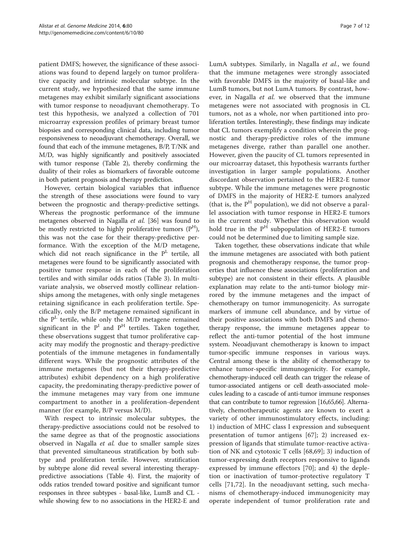patient DMFS; however, the significance of these associations was found to depend largely on tumor proliferative capacity and intrinsic molecular subtype. In the current study, we hypothesized that the same immune metagenes may exhibit similarly significant associations with tumor response to neoadjuvant chemotherapy. To test this hypothesis, we analyzed a collection of 701 microarray expression profiles of primary breast tumor biopsies and corresponding clinical data, including tumor responsiveness to neoadjuvant chemotherapy. Overall, we found that each of the immune metagenes, B/P, T/NK and M/D, was highly significantly and positively associated with tumor response (Table [2\)](#page-3-0), thereby confirming the duality of their roles as biomarkers of favorable outcome in both patient prognosis and therapy prediction.

However, certain biological variables that influence the strength of these associations were found to vary between the prognostic and therapy-predictive settings. Whereas the prognostic performance of the immune metagenes observed in Nagalla et al. [\[36](#page-9-0)] was found to be mostly restricted to highly proliferative tumors  $(P^H)$ , this was not the case for their therapy-predictive performance. With the exception of the M/D metagene, which did not reach significance in the  $P<sup>L</sup>$  tertile, all metagenes were found to be significantly associated with positive tumor response in each of the proliferation tertiles and with similar odds ratios (Table [3\)](#page-4-0). In multivariate analysis, we observed mostly collinear relationships among the metagenes, with only single metagenes retaining significance in each proliferation tertile. Specifically, only the B/P metagene remained significant in the  $P<sup>L</sup>$  tertile, while only the M/D metagene remained significant in the  $P<sup>I</sup>$  and  $P<sup>H</sup>$  tertiles. Taken together, these observations suggest that tumor proliferative capacity may modify the prognostic and therapy-predictive potentials of the immune metagenes in fundamentally different ways. While the prognostic attributes of the immune metagenes (but not their therapy-predictive attributes) exhibit dependency on a high proliferative capacity, the predominating therapy-predictive power of the immune metagenes may vary from one immune compartment to another in a proliferation-dependent manner (for example, B/P versus M/D).

With respect to intrinsic molecular subtypes, the therapy-predictive associations could not be resolved to the same degree as that of the prognostic associations observed in Nagalla et al. due to smaller sample sizes that prevented simultaneous stratification by both subtype and proliferation tertile. However, stratification by subtype alone did reveal several interesting therapypredictive associations (Table [4](#page-4-0)). First, the majority of odds ratios trended toward positive and significant tumor responses in three subtypes - basal-like, LumB and CL while showing few to no associations in the HER2-E and LumA subtypes. Similarly, in Nagalla et al., we found that the immune metagenes were strongly associated with favorable DMFS in the majority of basal-like and LumB tumors, but not LumA tumors. By contrast, however, in Nagalla et al. we observed that the immune metagenes were not associated with prognosis in CL tumors, not as a whole, nor when partitioned into proliferation tertiles. Interestingly, these findings may indicate that CL tumors exemplify a condition wherein the prognostic and therapy-predictive roles of the immune metagenes diverge, rather than parallel one another. However, given the paucity of CL tumors represented in our microarray dataset, this hypothesis warrants further investigation in larger sample populations. Another discordant observation pertained to the HER2-E tumor subtype. While the immune metagenes were prognostic of DMFS in the majority of HER2-E tumors analyzed (that is, the  $P<sup>H</sup>$  population), we did not observe a parallel association with tumor response in HER2-E tumors in the current study. Whether this observation would hold true in the  $P^H$  subpopulation of HER2-E tumors could not be determined due to limiting sample size.

Taken together, these observations indicate that while the immune metagenes are associated with both patient prognosis and chemotherapy response, the tumor properties that influence these associations (proliferation and subtype) are not consistent in their effects. A plausible explanation may relate to the anti-tumor biology mirrored by the immune metagenes and the impact of chemotherapy on tumor immunogenicity. As surrogate markers of immune cell abundance, and by virtue of their positive associations with both DMFS and chemotherapy response, the immune metagenes appear to reflect the anti-tumor potential of the host immune system. Neoadjuvant chemotherapy is known to impact tumor-specific immune responses in various ways. Central among these is the ability of chemotherapy to enhance tumor-specific immunogenicity. For example, chemotherapy-induced cell death can trigger the release of tumor-associated antigens or cell death-associated molecules leading to a cascade of anti-tumor immune responses that can contribute to tumor regression [\[16](#page-9-0)[,65,66](#page-10-0)]. Alternatively, chemotherapeutic agents are known to exert a variety of other immunostimulatory effects, including: 1) induction of MHC class I expression and subsequent presentation of tumor antigens [[67](#page-10-0)]; 2) increased expression of ligands that stimulate tumor-reactive activation of NK and cytotoxic T cells [\[68](#page-10-0),[69\]](#page-11-0); 3) induction of tumor-expressing death receptors responsive to ligands expressed by immune effectors [\[70\]](#page-11-0); and 4) the depletion or inactivation of tumor-protective regulatory T cells [[71,72\]](#page-11-0). In the neoadjuvant setting, such mechanisms of chemotherapy-induced immunogenicity may operate independent of tumor proliferation rate and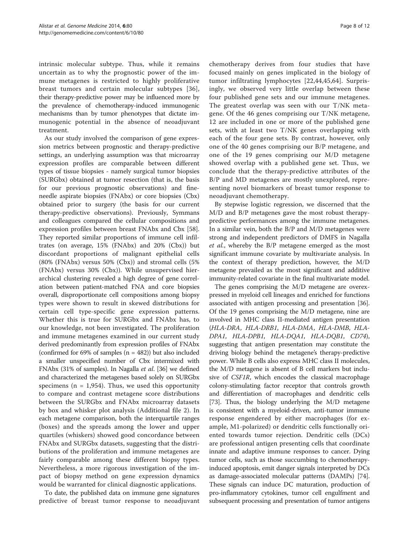intrinsic molecular subtype. Thus, while it remains uncertain as to why the prognostic power of the immune metagenes is restricted to highly proliferative breast tumors and certain molecular subtypes [[36](#page-9-0)], their therapy-predictive power may be influenced more by the prevalence of chemotherapy-induced immunogenic mechanisms than by tumor phenotypes that dictate immunogenic potential in the absence of neoadjuvant treatment.

As our study involved the comparison of gene expression metrics between prognostic and therapy-predictive settings, an underlying assumption was that microarray expression profiles are comparable between different types of tissue biopsies - namely surgical tumor biopsies (SURGbx) obtained at tumor resection (that is, the basis for our previous prognostic observations) and fineneedle aspirate biopsies (FNAbx) or core biopsies (Cbx) obtained prior to surgery (the basis for our current therapy-predictive observations). Previously, Symmans and colleagues compared the cellular compositions and expression profiles between breast FNAbx and Cbx [\[58](#page-10-0)]. They reported similar proportions of immune cell infiltrates (on average, 15% (FNAbx) and 20% (Cbx)) but discordant proportions of malignant epithelial cells (80% (FNAbx) versus 50% (Cbx)) and stromal cells (5% (FNAbx) versus 30% (Cbx)). While unsupervised hierarchical clustering revealed a high degree of gene correlation between patient-matched FNA and core biopsies overall, disproportionate cell compositions among biopsy types were shown to result in skewed distributions for certain cell type-specific gene expression patterns. Whether this is true for SURGbx and FNAbx has, to our knowledge, not been investigated. The proliferation and immune metagenes examined in our current study derived predominantly from expression profiles of FNAbx (confirmed for  $69\%$  of samples  $(n = 482)$ ) but also included a smaller unspecified number of Cbx intermixed with FNAbx (31% of samples). In Nagalla et al. [[36](#page-9-0)] we defined and characterized the metagenes based solely on SURGbx specimens ( $n = 1,954$ ). Thus, we used this opportunity to compare and contrast metagene score distributions between the SURGbx and FNAbx microarray datasets by box and whisker plot analysis (Additional file [2\)](#page-8-0). In each metagene comparison, both the interquartile ranges (boxes) and the spreads among the lower and upper quartiles (whiskers) showed good concordance between FNAbx and SURGbx datasets, suggesting that the distributions of the proliferation and immune metagenes are fairly comparable among these different biopsy types. Nevertheless, a more rigorous investigation of the impact of biopsy method on gene expression dynamics would be warranted for clinical diagnostic applications.

To date, the published data on immune gene signatures predictive of breast tumor response to neoadjuvant

chemotherapy derives from four studies that have focused mainly on genes implicated in the biology of tumor infiltrating lymphocytes [[22,](#page-9-0)[44,45,64](#page-10-0)]. Surprisingly, we observed very little overlap between these four published gene sets and our immune metagenes. The greatest overlap was seen with our T/NK metagene. Of the 46 genes comprising our T/NK metagene, 12 are included in one or more of the published gene sets, with at least two T/NK genes overlapping with each of the four gene sets. By contrast, however, only one of the 40 genes comprising our B/P metagene, and one of the 19 genes comprising our M/D metagene showed overlap with a published gene set. Thus, we conclude that the therapy-predictive attributes of the B/P and MD metagenes are mostly unexplored, representing novel biomarkers of breast tumor response to neoadjuvant chemotherapy.

By stepwise logistic regression, we discerned that the M/D and B/P metagenes gave the most robust therapypredictive performances among the immune metagenes. In a similar vein, both the B/P and M/D metagenes were strong and independent predictors of DMFS in Nagalla et al., whereby the B/P metagene emerged as the most significant immune covariate by multivariate analysis. In the context of therapy prediction, however, the M/D metagene prevailed as the most significant and additive immunity-related covariate in the final multivariate model.

The genes comprising the M/D metagene are overexpressed in myeloid cell lineages and enriched for functions associated with antigen processing and presentation [[36](#page-9-0)]. Of the 19 genes comprising the M/D metagene, nine are involved in MHC class II-mediated antigen presentation (HLA-DRA, HLA-DRB1, HLA-DMA, HLA-DMB, HLA-DPA1, HLA-DPB1, HLA-DQA1, HLA-DQB1, CD74), suggesting that antigen presentation may constitute the driving biology behind the metagene's therapy-predictive power. While B cells also express MHC class II molecules, the M/D metagene is absent of B cell markers but inclusive of CSF1R, which encodes the classical macrophage colony-stimulating factor receptor that controls growth and differentiation of macrophages and dendritic cells [[73](#page-11-0)]. Thus, the biology underlying the M/D metagene is consistent with a myeloid-driven, anti-tumor immune response engendered by either macrophages (for example, M1-polarized) or dendritic cells functionally oriented towards tumor rejection. Dendritic cells (DCs) are professional antigen presenting cells that coordinate innate and adaptive immune responses to cancer. Dying tumor cells, such as those succumbing to chemotherapyinduced apoptosis, emit danger signals interpreted by DCs as damage-associated molecular patterns (DAMPs) [[74](#page-11-0)]. These signals can induce DC maturation, production of pro-inflammatory cytokines, tumor cell engulfment and subsequent processing and presentation of tumor antigens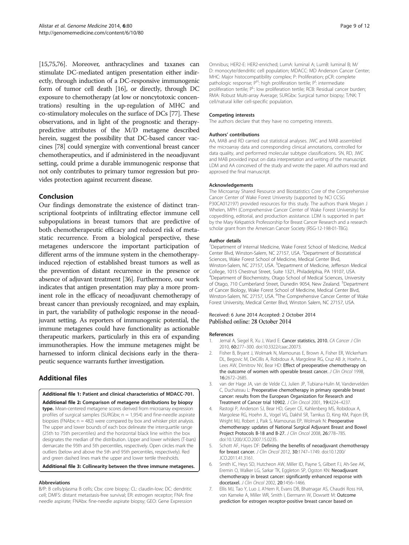<span id="page-8-0"></span>[[15](#page-9-0)[,75,76](#page-11-0)]. Moreover, anthracyclines and taxanes can stimulate DC-mediated antigen presentation either indirectly, through induction of a DC-responsive immunogenic form of tumor cell death [\[16\]](#page-9-0), or directly, through DC exposure to chemotherapy (at low or noncytotoxic concentrations) resulting in the up-regulation of MHC and co-stimulatory molecules on the surface of DCs [[77](#page-11-0)]. These observations, and in light of the prognostic and therapypredictive attributes of the M/D metagene described herein, suggest the possibility that DC-based cancer vaccines [[78](#page-11-0)] could synergize with conventional breast cancer chemotherapeutics, and if administered in the neoadjuvant setting, could prime a durable immunogenic response that not only contributes to primary tumor regression but provides protection against recurrent disease.

## Conclusion

Our findings demonstrate the existence of distinct transcriptional footprints of infiltrating effector immune cell subpopulations in breast tumors that are predictive of both chemotherapeutic efficacy and reduced risk of metastatic recurrence. From a biological perspective, these metagenes underscore the important participation of different arms of the immune system in the chemotherapyinduced rejection of established breast tumors as well as the prevention of distant recurrence in the presence or absence of adjuvant treatment [[36](#page-9-0)]. Furthermore, our work indicates that antigen presentation may play a more prominent role in the efficacy of neoadjuvant chemotherapy of breast cancer than previously recognized, and may explain, in part, the variability of pathologic response in the neoadjuvant setting. As reporters of immunogenic potential, the immune metagenes could have functionality as actionable therapeutic markers, particularly in this era of expanding immunotherapies. How the immune metagenes might be harnessed to inform clinical decisions early in the therapeutic sequence warrants further investigation.

## Additional files

## [Additional file 1:](http://genomemedicine.com/content/supplementary/s13073-014-0080-8-s1.xls) Patient and clinical characteristics of MDACC-701.

[Additional file 2:](http://genomemedicine.com/content/supplementary/s13073-014-0080-8-s2.docx) Comparison of metagene distributions by biopsy type. Mean-centered metagene scores derived from microarray expression profiles of surgical samples (SURGbx;  $n = 1,954$ ) and fine-needle aspirate biopsies (FNAbx;  $n = 482$ ) were compared by box and whisker plot analysis. The upper and lower bounds of each box delineate the interquartile range (25th to 75th percentiles) and the horizontal black line within the box designates the median of the distribution. Upper and lower whiskers (T-bars) demarcate the 95th and 5th percentiles, respectively. Open circles mark the outliers (below and above the 5th and 95th percentiles, respectively). Red and green dashed lines mark the upper and lower tertile thresholds.

## [Additional file 3:](http://genomemedicine.com/content/supplementary/s13073-014-0080-8-s3.docx) Collinearity between the three immune metagenes.

## Abbreviations

B/P: B cells/plasma B cells; Cbx: core biopsy; CL: claudin-low; DC: dendritic cell; DMFS: distant metastasis-free survival; ER: estrogen receptor; FNA: fine needle aspirate; FNAbx: fine-needle aspirate biopsy; GEO: Gene Expression

Omnibus; HER2-E: HER2-enriched; LumA: luminal A; LumB: luminal B; M/ D: monocyte/dendritic cell population; MDACC: MD Anderson Cancer Center; MHC: Major histocompatibility complex; P: Proliferation; pCR: complete pathologic response; P<sup>H</sup>: high proliferation tertile; P<sup>I</sup>: intermediate proliferation tertile; PL: low proliferation tertile; RCB: Residual cancer burden RMA: Robust Multi-array Average; SURGbx: Surgical tumor biopsy; T/NK: T cell/natural killer cell-specific population.

## Competing interests

The authors declare that they have no competing interests.

## Authors' contributions

AA, MAB and RD carried out statistical analyses. JWC and MAB assembled the microarray data and corresponding clinical annotations, controlled for data quality, and performed molecular subtype classifications. SN, RD, JWC and MAB provided input on data interpretation and writing of the manuscript. LDM and AA conceived of the study and wrote the paper. All authors read and approved the final manuscript.

## Acknowledgements

The Microarray Shared Resource and Biostatistics Core of the Comprehensive Cancer Center of Wake Forest University (supported by NCI CCSG P30CA012197) provided resources for this study. The authors thank Megan J Whelen, MPH (Comprehensive Cancer Center of Wake Forest University) for copyediting, editorial, and production assistance. LDM is supported in part by the Mary Kirkpatrick Professorship for Breast Cancer Research and a research scholar grant from the American Cancer Society (RSG-12-198-01-TBG).

## Author details

<sup>1</sup>Department of Internal Medicine, Wake Forest School of Medicine, Medical Center Blvd, Winston-Salem, NC 27157, USA. <sup>2</sup>Department of Biostatistical Sciences, Wake Forest School of Medicine, Medical Center Blvd, Winston-Salem, NC 27157, USA. <sup>3</sup>Department of Medicine, Jefferson Medical College, 1015 Chestnut Street, Suite 1321, Philadelphia, PA 19107, USA. 4 Department of Biochemistry, Otago School of Medical Sciences, University of Otago, 710 Cumberland Street, Dunedin 9054, New Zealand. <sup>5</sup>Department of Cancer Biology, Wake Forest School of Medicine, Medical Center Blvd, Winston-Salem, NC 27157, USA. <sup>6</sup>The Comprehensive Cancer Center of Wake Forest University, Medical Center Blvd, Winston Salem, NC 27157, USA.

## Received: 6 June 2014 Accepted: 2 October 2014 Published online: 28 October 2014

#### References

- 1. Jemal A, Siegel R, Xu J, Ward E: Cancer statistics, 2010. CA Cancer J Clin 2010, 60:277–300. doi:10.3322/caac.20073.
- 2. Fisher B, Bryant J, Wolmark N, Mamounas E, Brown A, Fisher ER, Wickerham DL, Begovic M, DeCillis A, Robidoux A, Margolese RG, Cruz AB Jr, Hoehn JL, Lees AW, Dimitrov NV, Bear HD: Effect of preoperative chemotherapy on the outcome of women with operable breast cancer. J Clin Oncol 1998, 16:2672–2685.
- 3. van der Hage JA, van de Velde CJ, Julien JP, Tubiana-Hulin M, Vandervelden C, Duchateau L: Preoperative chemotherapy in primary operable breast cancer: results from the European Organization for Research and Treatment of Cancer trial 10902. J Clin Oncol 2001, 19:4224–4237.
- 4. Rastogi P, Anderson SJ, Bear HD, Geyer CE, Kahlenberg MS, Robidoux A, Margolese RG, Hoehn JL, Vogel VG, Dakhil SR, Tamkus D, King KM, Pajon ER, Wright MJ, Robert J, Paik S, Mamounas EP, Wolmark N: Preoperative chemotherapy: updates of National Surgical Adjuvant Breast and Bowel Project Protocols B-18 and B-27. J Clin Oncol 2008, 26:778-785. doi:10.1200/JCO.2007.15.0235.
- 5. Schott AF, Hayes DF: Defining the benefits of neoadjuvant chemotherapy for breast cancer. J Clin Oncol 2012, 30:1747–1749. doi:10.1200/ JCO.2011.41.3161.
- 6. Smith IC, Heys SD, Hutcheon AW, Miller ID, Payne S, Gilbert FJ, Ah-See AK, Eremin O, Walker LG, Sarkar TK, Eggleton SP, Ogston KN: Neoadjuvant chemotherapy in breast cancer: significantly enhanced response with docetaxel. J Clin Oncol 2002, 20:1456–1466.
- 7. Ellis MJ, Tao Y, Luo J, A'Hern R, Evans DB, Bhatnagar AS, Chaudri Ross HA, von Kameke A, Miller WR, Smith I, Eiermann W, Dowsett M: Outcome prediction for estrogen receptor-positive breast cancer based on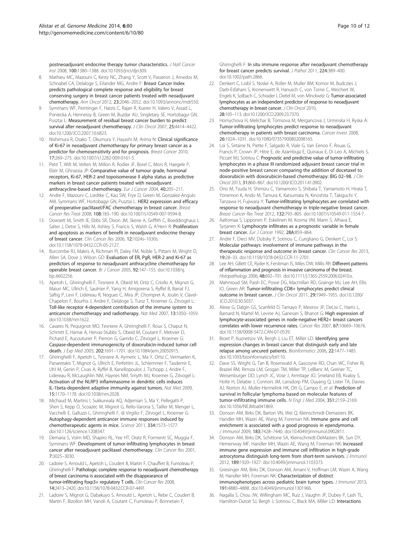<span id="page-9-0"></span>postneoadjuvant endocrine therapy tumor characteristics. J Natl Cancer Inst 2008, 100:1380–1388. doi:10.1093/jnci/djn309.

- 8. Mathieu MC, Mazouni C, Kesty NC, Zhang Y, Scott V, Passeron J, Arnedos M, Schnabel CA, Delaloge S, Erlander MG, Andre F: Breast Cancer Index predicts pathological complete response and eligibility for breast conserving surgery in breast cancer patients treated with neoadjuvant chemotherapy. Ann Oncol 2012, 23:2046–2052. doi:10.1093/annonc/mdr550.
- Symmans WF, Peintinger F, Hatzis C, Rajan R, Kuerer H, Valero V, Assad L, Poniecka A, Hennessy B, Green M, Buzdar AU, Singletary SE, Hortobagyi GN, Pusztai L: Measurement of residual breast cancer burden to predict survival after neoadjuvant chemotherapy. J Clin Oncol 2007, 25:4414-4422. doi:10.1200/JCO.2007.10.6823.
- 10. Nishimura R, Osako T, Okumura Y, Hayashi M, Arima N: Clinical significance of Ki-67 in neoadjuvant chemotherapy for primary breast cancer as a predictor for chemosensitivity and for prognosis. Breast Cancer 2010, 17:269–275. doi:10.1007/s12282-009-0161-5.
- 11. Petit T, Wilt M, Velten M, Millon R, Rodier JF, Borel C, Mors R, Haegele P, Eber M, Ghnassia JP: Comparative value of tumour grade, hormonal receptors, Ki-67, HER-2 and topoisomerase II alpha status as predictive markers in breast cancer patients treated with neoadjuvant anthracycline-based chemotherapy. Eur J Cancer 2004, 40:205–211.
- 12. Andre F, Mazouni C, Liedtke C, Kau SW, Frye D, Green M, Gonzalez-Angulo AM, Symmans WF, Hortobagyi GN, Pusztai L: HER2 expression and efficacy of preoperative paclitaxel/FAC chemotherapy in breast cancer. Breast Cancer Res Treat 2008, 108:183–190. doi:10.1007/s10549-007-9594-8.
- 13. Dowsett M, Smith IE, Ebbs SR, Dixon JM, Skene A, Griffith C, Boeddinghaus I, Salter J, Detre S, Hills M, Ashley S, Francis S, Walsh G, A'Hern R: Proliferation and apoptosis as markers of benefit in neoadjuvant endocrine therapy of breast cancer. Clin Cancer Res 2006, 12:1024s–1030s. doi:10.1158/1078-0432.CCR-05-2127.
- 14. Burcombe RJ, Makris A, Richman PI, Daley FM, Noble S, Pittam M, Wright D, Allen SA, Dove J, Wilson GD: Evaluation of ER, PgR, HER-2 and Ki-67 as predictors of response to neoadjuvant anthracycline chemotherapy for operable breast cancer. Br J Cancer 2005, 92:147–155. doi:10.1038/sj. bjc.6602256.
- 15. Apetoh L, Ghiringhelli F, Tesniere A, Obeid M, Ortiz C, Criollo A, Mignot G, Maiuri MC, Ullrich E, Saulnier P, Yang H, Amigorena S, Ryffel B, Barrat FJ, Saftig P, Levi F, Lidereau R, Nogues C, Mira JP, Chompret A, Joulin V, Clavel-Chapelon F, Bourhis J, Andre F, Delaloge S, Tursz T, Kroemer G, Zitvogel L: Toll-like receptor 4-dependent contribution of the immune system to anticancer chemotherapy and radiotherapy. Nat Med 2007, 13:1050–1059. doi:10.1038/nm1622.
- 16. Casares N, Pequignot MO, Tesniere A, Ghiringhelli F, Roux S, Chaput N, Schmitt E, Hamai A, Hervas-Stubbs S, Obeid M, Coutant F, Metivier D, Pichard E, Aucouturier P, Pierron G, Garrido C, Zitvogel L, Kroemer G: Caspase-dependent immunogenicity of doxorubicin-induced tumor cell death. J Exp Med 2005, 202:1691–1701. doi:10.1084/jem.20050915.
- 17. Ghiringhelli F, Apetoh L, Tesniere A, Aymeric L, Ma Y, Ortiz C, Vermaelen K, Panaretakis T, Mignot G, Ullrich E, Perfettini JL, Schlemmer F, Tasdemir E, Uhl M, Genin P, Civas A, Ryffel B, Kanellopoulos J, Tschopp J, Andre F, Lidereau R, McLaughlin NM, Haynes NM, Smyth MJ, Kroemer G, Zitvogel L: Activation of the NLRP3 inflammasome in dendritic cells induces IL-1beta-dependent adaptive immunity against tumors. Nat Med 2009, 15:1170–1178. doi:10.1038/nm.2028.
- 18. Michaud M, Martins I, Sukkurwala AQ, Adjemian S, Ma Y, Pellegatti P, Shen S, Kepp O, Scoazec M, Mignot G, Rello-Varona S, Tailler M, Menger L, Vacchelli E, Galluzzi L, Ghiringhelli F, di Virgilio F, Zitvogel L, Kroemer G: Autophagy-dependent anticancer immune responses induced by chemotherapeutic agents in mice. Science 2011, 334:1573–1577. doi:10.1126/science.1208347.
- 19. Demaria S, Volm MD, Shapiro RL, Yee HT, Oratz R, Formenti SC, Muggia F, Symmans WF: Development of tumor-infiltrating lymphocytes in breast cancer after neoadjuvant paclitaxel chemotherapy. Clin Cancer Res 2001, 7:3025–3030.
- 20. Ladoire S, Arnould L, Apetoh L, Coudert B, Martin F, Chauffert B, Fumoleau P, Ghiringhelli F: Pathologic complete response to neoadjuvant chemotherapy of breast carcinoma is associated with the disappearance of tumor-infiltrating foxp3+ regulatory T cells. Clin Cancer Res 2008, 14:2413–2420. doi:10.1158/1078-0432.CCR-07-4491.
- 21. Ladoire S, Mignot G, Dabakuyo S, Arnould L, Apetoh L, Rebe C, Coudert B, Martin F, Bizollon MH, Vanoli A, Coutant C, Fumoleau P, Bonnetain F,

Ghiringhelli F: In situ immune response after neoadjuvant chemotherapy for breast cancer predicts survival. J Pathol 2011, 224:389-400. doi:10.1002/path.2866.

- 22. Denkert C, Loibl S, Noske A, Roller M, Muller BM, Komor M, Budczies J, Darb-Esfahani S, Kronenwett R, Hanusch C, von Torne C, Weichert W, Engels K, Solbach C, Schrader I, Dietel M, von Minckwitz G: Tumor-associated lymphocytes as an independent predictor of response to neoadjuvant chemotherapy in breast cancer. J Clin Oncol 2010, 28:105–113. doi:10.1200/JCO.2009.23.7370.
- 23. Hornychova H, Melichar B, Tomsova M, Mergancova J, Urminska H, Ryska A: Tumor-infiltrating lymphocytes predict response to neoadjuvant chemotherapy in patients with breast carcinoma. Cancer Invest 2008, 26:1024–1031. doi:10.1080/07357900802098165.
- 24. Loi S, Sirtaine N, Piette F, Salgado R, Viale G, Van Eenoo F, Rouas G, Francis P, Crown JP, Hitre E, de Azambuja E, Quinaux E, Di Leo A, Michiels S, Piccart MJ, Sotiriou C: Prognostic and predictive value of tumor-infiltrating lymphocytes in a phase III randomized adjuvant breast cancer trial in node-positive breast cancer comparing the addition of docetaxel to doxorubicin with doxorubicin-based chemotherapy: BIG 02-98. J Clin Oncol 2013, 31:860–867. doi:10.1200/JCO.2011.41.0902.
- 25. Ono M, Tsuda H, Shimizu C, Yamamoto S, Shibata T, Yamamoto H, Hirata T, Yonemori K, Ando M, Tamura K, Katsumata N, Kinoshita T, Takiguchi Y, Tanzawa H, Fujiwara Y: Tumor-infiltrating lymphocytes are correlated with response to neoadjuvant chemotherapy in triple-negative breast cancer. Breast Cancer Res Treat 2012, 132:793–805. doi:10.1007/s10549-011-1554-7.
- 26. Aaltomaa S, Lipponen P, Eskelinen M, Kosma VM, Marin S, Alhava E, Syrjanen K: Lymphocyte infiltrates as a prognostic variable in female breast cancer. Eur J Cancer 1992, 28A:859–864.
- 27. Andre F, Dieci MV, Dubsky P, Sotiriou C, Curigliano G, Denkert C, Loi S: Molecular pathways: involvement of immune pathways in the therapeutic response and outcome in breast cancer. Clin Cancer Res 2013, 19:28–33. doi:10.1158/1078-0432.CCR-11-2701.
- 28. Lee AH, Gillett CE, Ryder K, Fentiman IS, Miles DW, Millis RR: Different patterns of inflammation and prognosis in invasive carcinoma of the breast. Histopathology 2006, 48:692-701. doi:10.1111/j.1365-2559.2006.02410.x.
- 29. Mahmoud SM, Paish EC, Powe DG, Macmillan RD, Grainge MJ, Lee AH, Ellis IO, Green AR: Tumor-infiltrating CD8+ lymphocytes predict clinical outcome in breast cancer. J Clin Oncol 2011, 29:1949–1955. doi:10.1200/ JCO.2010.30.5037.
- 30. Alexe G, Dalgin GS, Scanfeld D, Tamayo P, Mesirov JP, DeLisi C, Harris L, Barnard N, Martel M, Levine AJ, Ganesan S, Bhanot G: High expression of lymphocyte-associated genes in node-negative HER2+ breast cancers correlates with lower recurrence rates. Cancer Res 2007, 67:10669–10676. doi:10.1158/0008-5472.CAN-07-0539.
- 31. Broet P, Kuznetsov VA, Bergh J, Liu ET, Miller LD: Identifying gene expression changes in breast cancer that distinguish early and late relapse among uncured patients. Bioinformatics 2006, 22:1477–1485. doi:10.1093/bioinformatics/btl110.
- 32. Dave SS, Wright G, Tan B, Rosenwald A, Gascoyne RD, Chan WC, Fisher RI, Braziel RM, Rimsza LM, Grogan TM, Miller TP, LeBlanc M, Greiner TC, Weisenburger DD, Lynch JC, Vose J, Armitage JO, Smeland EB, Kvaloy S, Holte H, Delabie J, Connors JM, Lansdorp PM, Ouyang Q, Lister TA, Davies AJ, Norton AJ, Muller-Hermelink HK, Ott G, Campo E, et al: Prediction of survival in follicular lymphoma based on molecular features of tumor-infiltrating immune cells. N Engl J Med 2004, 351:2159–2169. doi:10.1056/NEJMoa041869.
- 33. Donson AM, Birks DK, Barton VN, Wei Q, Kleinschmidt-Demasters BK, Handler MH, Waziri AE, Wang M, Foreman NK: Immune gene and cell enrichment is associated with a good prognosis in ependymoma. J Immunol 2009, 183:7428–7440. doi:10.4049/jimmunol.0902811.
- 34. Donson AM, Birks DK, Schittone SA, Kleinschmidt-DeMasters BK, Sun DY, Hemenway MF, Handler MH, Waziri AE, Wang M, Foreman NK: Increased immune gene expression and immune cell infiltration in high-grade astrocytoma distinguish long-term from short-term survivors. J Immunol 2012, 189:1920–1927. doi:10.4049/jimmunol.1103373.
- 35. Griesinger AM, Birks DK, Donson AM, Amani V, Hoffman LM, Waziri A, Wang M, Handler MH, Foreman NK: Characterization of distinct immunophenotypes across pediatric brain tumor types. J Immunol 2013, 191:4880–4888. doi:10.4049/jimmunol.1301966.
- 36. Nagalla S, Chou JW, Willingham MC, Ruiz J, Vaughn JP, Dubey P, Lash TL, Hamilton-Dutoit SJ, Bergh J, Sotiriou C, Black MA, Miller LD: Interactions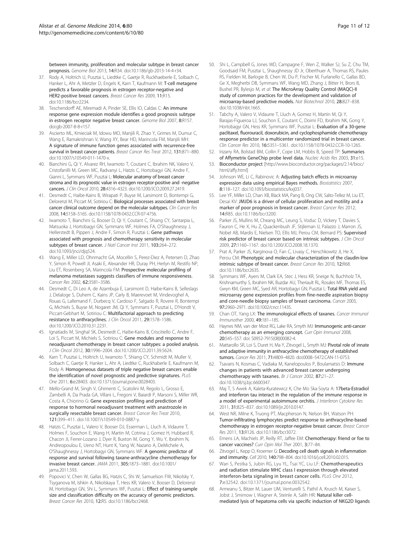<span id="page-10-0"></span>between immunity, proliferation and molecular subtype in breast cancer prognosis. Genome Biol 2013, 14:R34. doi:10.1186/gb-2013-14-4-r34.

- 37. Rody A, Holtrich U, Pusztai L, Liedtke C, Gaetje R, Ruckhaeberle E, Solbach C, Hanker L, Ahr A, Metzler D, Engels K, Karn T, Kaufmann M: T-cell metagene predicts a favorable prognosis in estrogen receptor-negative and HER2-positive breast cancers. Breast Cancer Res 2009, 11:R15. doi:10.1186/bcr2234.
- 38. Teschendorff AE, Miremadi A, Pinder SE, Ellis IO, Caldas C: An immune response gene expression module identifies a good prognosis subtype in estrogen receptor negative breast cancer. Genome Biol 2007, 8:R157. doi:gb-2007-8-8-r157.
- 39. Ascierto ML, Kmieciak M, Idowu MO, Manjili R, Zhao Y, Grimes M, Dumur C, Wang E, Ramakrishnan V, Wang XY, Bear HD, Marincola FM, Manjili MH: A signature of immune function genes associated with recurrence-free survival in breast cancer patients. Breast Cancer Res Treat 2012, 131:871-880. doi:10.1007/s10549-011-1470-x.
- 40. Bianchini G, Qi Y, Alvarez RH, Iwamoto T, Coutant C, Ibrahim NK, Valero V, Cristofanilli M, Green MC, Radvanyi L, Hatzis C, Hortobagyi GN, Andre F, Gianni L, Symmans WF, Pusztai L: Molecular anatomy of breast cancer stroma and its prognostic value in estrogen receptor-positive and -negative cancers. J Clin Oncol 2010, 28:4316–4323. doi:10.1200/JCO.2009.27.2419.
- 41. Desmedt C, Haibe-Kains B, Wirapati P, Buyse M, Larsimont D, Bontempi G, Delorenzi M, Piccart M, Sotiriou C: Biological processes associated with breast cancer clinical outcome depend on the molecular subtypes. Clin Cancer Res 2008, 14:5158–5165. doi:10.1158/1078-0432.CCR-07-4756.
- 42. Iwamoto T, Bianchini G, Booser D, Qi Y, Coutant C, Shiang CY, Santarpia L, Matsuoka J, Hortobagyi GN, Symmans WF, Holmes FA, O'Shaughnessy J, Hellerstedt B, Pippen J, Andre F, Simon R, Pusztai L: Gene pathways associated with prognosis and chemotherapy sensitivity in molecular subtypes of breast cancer. J Natl Cancer Inst 2011, 103:264-272. doi:10.1093/jnci/djq524.
- 43. Wang E, Miller LD, Ohnmacht GA, Mocellin S, Perez-Diez A, Petersen D, Zhao Y, Simon R, Powell JI, Asaki E, Alexander HR, Duray PH, Herlyn M, Restifo NP, Liu ET, Rosenberg SA, Marincola FM: Prospective molecular profiling of melanoma metastases suggests classifiers of immune responsiveness. Cancer Res 2002, 62:3581–3586.
- 44. Desmedt C, Di Leo A, de Azambuja E, Larsimont D, Haibe-Kains B, Selleslags J, Delaloge S, Duhem C, Kains JP, Carly B, Maerevoet M, Vindevoghel A, Rouas G, Lallemand F, Durbecq V, Cardoso F, Salgado R, Rovere R, Bontempi G, Michiels S, Buyse M, Nogaret JM, Qi Y, Symmans F, Pusztai L, D'Hondt V, Piccart-Gebhart M, Sotiriou C: Multifactorial approach to predicting resistance to anthracyclines. J Clin Oncol 2011, 29:1578–1586. doi:10.1200/JCO.2010.31.2231.
- 45. Ignatiadis M, Singhal SK, Desmedt C, Haibe-Kains B, Criscitiello C, Andre F, Loi S, Piccart M, Michiels S, Sotiriou C: Gene modules and response to neoadjuvant chemotherapy in breast cancer subtypes: a pooled analysis. J Clin Oncol 2012, 30:1996–2004. doi:10.1200/JCO.2011.39.5624.
- 46. Karn T, Pusztai L, Holtrich U, Iwamoto T, Shiang CY, Schmidt M, Muller V, Solbach C, Gaetje R, Hanker L, Ahr A, Liedtke C, Ruckhaberle E, Kaufmann M, Rody A: Homogeneous datasets of triple negative breast cancers enable the identification of novel prognostic and predictive signatures. PLoS One 2011, 6:e28403. doi:10.1371/journal.pone.0028403.
- 47. Mello-Grand M, Singh V, Ghimenti C, Scatolini M, Regolo L, Grosso E, Zambelli A, Da Prada GA, Villani L, Fregoni V, Baiardi P, Marsoni S, Miller WR, Costa A, Chiorino G: Gene expression profiling and prediction of response to hormonal neoadjuvant treatment with anastrozole in surgically resectable breast cancer. Breast Cancer Res Treat 2010, 121:399–411. doi:10.1007/s10549-010-0887-y.
- 48. Hatzis C, Pusztai L, Valero V, Booser DJ, Esserman L, Lluch A, Vidaurre T, Holmes F, Souchon E, Wang H, Martin M, Cotrina J, Gomez H, Hubbard R, Chacon JI, Ferrer-Lozano J, Dyer R, Buxton M, Gong Y, Wu Y, Ibrahim N, Andreopoulou E, Ueno NT, Hunt K, Yang W, Nazario A, DeMichele A, O'Shaughnessy J, Hortobagyi GN, Symmans WF: A genomic predictor of response and survival following taxane-anthracycline chemotherapy for invasive breast cancer. JAMA 2011, 305:1873–1881. doi:10.1001/ jama.2011.593.
- 49. Popovici V, Chen W, Gallas BG, Hatzis C, Shi W, Samuelson FW, Nikolsky Y, Tsyganova M, Ishkin A, Nikolskaya T, Hess KR, Valero V, Booser D, Delorenzi M, Hortobagyi GN, Shi L, Symmans WF, Pusztai L: Effect of training-sample size and classification difficulty on the accuracy of genomic predictors. Breast Cancer Res 2010, 12:R5. doi:10.1186/bcr2468.
- 50. Shi L, Campbell G, Jones WD, Campagne F, Wen Z, Walker SJ, Su Z, Chu TM, Goodsaid FM, Pusztai L, Shaughnessy JD Jr, Oberthuer A, Thomas RS, Paules RS, Fielden M, Barlogie B, Chen W, Du P, Fischer M, Furlanello C, Gallas BD, Ge X, Megherbi DB, Symmans WF, Wang MD, Zhang J, Bitter H, Brors B, Bushel PR, Bylesjo M, et al: The MicroArray Quality Control (MAQC)-II study of common practices for the development and validation of microarray-based predictive models. Nat Biotechnol 2010, 28:827–838. doi:10.1038/nbt.1665.
- 51. Tabchy A, Valero V, Vidaurre T, Lluch A, Gomez H, Martin M, Qi Y, Barajas-Figueroa LJ, Souchon E, Coutant C, Doimi FD, Ibrahim NK, Gong Y, Hortobagyi GN, Hess KR, Symmans WF, Pusztai L: Evaluation of a 30-gene paclitaxel, fluorouracil, doxorubicin, and cyclophosphamide chemotherapy response predictor in a multicenter randomized trial in breast cancer. Clin Cancer Res 2010, 16:5351–5361. doi:10.1158/1078-0432.CCR-10-1265.
- 52. Irizarry RA, Bolstad BM, Collin F, Cope LM, Hobbs B, Speed TP: Summaries of Affymetrix GeneChip probe level data. Nucleic Acids Res 2003, 31:e15.
- 53. Bioconductor project [[http://www.bioconductor.org/packages/2.14/bioc/](http://www.bioconductor.org/packages/2.14/bioc/html/affy.html) [html/affy.html\]](http://www.bioconductor.org/packages/2.14/bioc/html/affy.html)
- 54. Johnson WE, Li C, Rabinovic A: Adjusting batch effects in microarray expression data using empirical Bayes methods. Biostatistics 2007, 8:118–127. doi:10.1093/biostatistics/kxj037.
- 55. Lee YF, Miller LD, Chan XB, Black MA, Pang B, Ong CW, Salto-Tellez M, Liu ET, Desai KV: JMJD6 is a driver of cellular proliferation and motility and a marker of poor prognosis in breast cancer. Breast Cancer Res 2012, 14:R85. doi:10.1186/bcr3200.
- 56. Parker JS, Mullins M, Cheang MC, Leung S, Voduc D, Vickery T, Davies S, Fauron C, He X, Hu Z, Quackenbush JF, Stijleman IJ, Palazzo J, Marron JS, Nobel AB, Mardis E, Nielsen TO, Ellis MJ, Perou CM, Bernard PS: Supervised risk predictor of breast cancer based on intrinsic subtypes. J Clin Oncol 2009, 27:1160–1167. doi:10.1200/JCO.2008.18.1370.
- 57. Prat A, Parker JS, Karginova O, Fan C, Livasy C, Herschkowitz JI, He X, Perou CM: Phenotypic and molecular characterization of the claudin-low intrinsic subtype of breast cancer. Breast Cancer Res 2010, 12:R68. doi:10.1186/bcr2635.
- 58. Symmans WF, Ayers M, Clark EA, Stec J, Hess KR, Sneige N, Buchholz TA, Krishnamurthy S, Ibrahim NK, Buzdar AU, Theriault RL, Rosales MF, Thomas ES, Gwyn KM, Green MC, Syed AR, Hortobagyi GN, Pusztai L: Total RNA yield and microarray gene expression profiles from fine-needle aspiration biopsy and core-needle biopsy samples of breast carcinoma. Cancer 2003, 97:2960–2971. doi:10.1002/cncr.11435.
- 59. Chan OT, Yang LX: The immunological effects of taxanes. Cancer Immunol Immunother 2000, 49:181–185.
- 60. Haynes NM, van der Most RG, Lake RA, Smyth MJ: Immunogenic anti-cancer chemotherapy as an emerging concept. Curr Opin Immunol 2008, 20:545–557. doi: S0952-7915(08)00082-4.
- 61. Mattarollo SR, Loi S, Duret H, Ma Y, Zitvogel L, Smyth MJ: Pivotal role of innate and adaptive immunity in anthracycline chemotherapy of established tumors. Cancer Res 2011, 71:4809–4820. doi:0008–5472.CAN-11-0753.
- 62. Tsavaris N, Kosmas C, Vadiaka M, Kanelopoulos P, Boulamatsis D: Immune changes in patients with advanced breast cancer undergoing chemotherapy with taxanes. Br J Cancer 2002, 87:21–27. doi:10.1038/sj.bjc.6600347.
- 63. Maj T, S Awek A, Kaleta-Kuratewicz K, Che Mo Ska-Soyta A: 17beta-Estradiol and interferon tau interact in the regulation of the immune response in a model of experimental autoimmune orchitis. J Interferon Cytokine Res 2011, 31:825–837. doi:10.1089/jir.2010.0147.
- 64. West NR, Milne K, Truong PT, Macpherson N, Nelson BH, Watson PH: Tumor-infiltrating lymphocytes predict response to anthracycline-based chemotherapy in estrogen receptor-negative breast cancer. Breast Cancer Res 2011, 13:R126. doi:10.1186/bcr3072.
- 65. Emens LA, Machiels JP, Reilly RT, Jaffee EM: Chemotherapy: friend or foe to cancer vaccines? Curr Opin Mol Ther 2001, 3:77-84.
- 66. Zitvogel L, Kepp O, Kroemer G: Decoding cell death signals in inflammation and immunity. Cell 2010, 140:798-804. doi:10.1016/j.cell.2010.02.015
- 67. Wan S, Pestka S, Jubin RG, Lyu YL, Tsai YC, Liu LF: Chemotherapeutics and radiation stimulate MHC class I expression through elevated interferon-beta signaling in breast cancer cells. PLoS One 2012, 7:e32542. doi:10.1371/journal.pone.0032542.
- 68. Armeanu S, Bitzer M, Lauer UM, Venturelli S, Pathil A, Krusch M, Kaiser S, Jobst J, Smirnow I, Wagner A, Steinle A, Salih HR: Natural killer cellmediated lysis of hepatoma cells via specific induction of NKG2D ligands